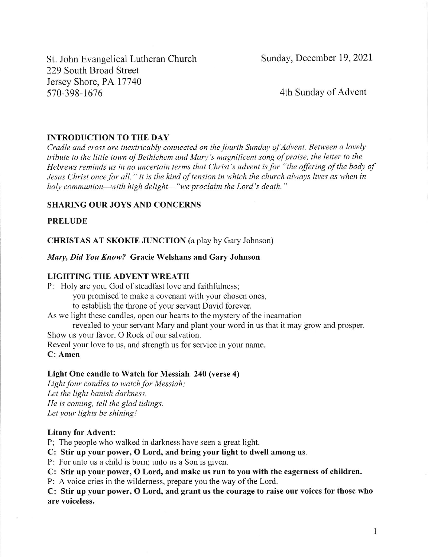St. John Evangelical Lutheran Church 229 South Broad Street Jersey Shore, PA 17740 570-398-1616

Sunday, December 19, 2021

4th Sunday of Advent

### INTRODUCTION TO THE DAY

Cradle and cross are inextricably connected on the fourth Sunday of Advent. Between a lovely tribute to the little town of Bethlehem and Mary's magnificent song of praise, the letter to the Hebrews reminds us in no uncertain terms that Christ's advent is for "the offering of the body of Jesus Christ once for all." It is the kind of tension in which the church always lives as when in holy communion—with high delight—"we proclaim the Lord's death."

#### **SHARING OUR JOYS AND CONCERNS**

### PRELUDE

CHRISTAS AT SKOKIE JUNCTION (a play by Gary Johnson)

Mary, Did You Know? Gracie Welshans and Gary Johnson

### LIGHTING THE ADVENT WREATH

P: Holy are you, God of steadfast love and faithfulness; you promised to make a covenant with your chosen ones, to establish the throne of your servant David forever.

As we light these candles, open our hearts to the mystery of the incamation revealed to your servant Mary and plant your word in us that it may grow and prosper

Show us your favor, O Rock of our salvation.

Reveal your love to us, and strength us for service in your name.

C: Amen

### Light One candle to Watch for Messiah 240 (verse 4)

Light four candles to watch for Messiah: Let the light banish darkness. He is coming, tell the glad tidings. Let your lights be shining!

#### Litany for Advent:

P; The people who walked in darkness have seen a great light.

C: Stir up your power, O Lord, and bring your light to dwell among us.

P: For unto us a child is bom; unto us a Son is given.

C: Stir up your power, O Lord, and make us run to you with the eagerness of children.

P: A voice cries in the wildemess, prepare you the way of the Lord.

C: Stir up your power, O Lord, and grant us the courage to raise our voices for those who are voiceless.

I